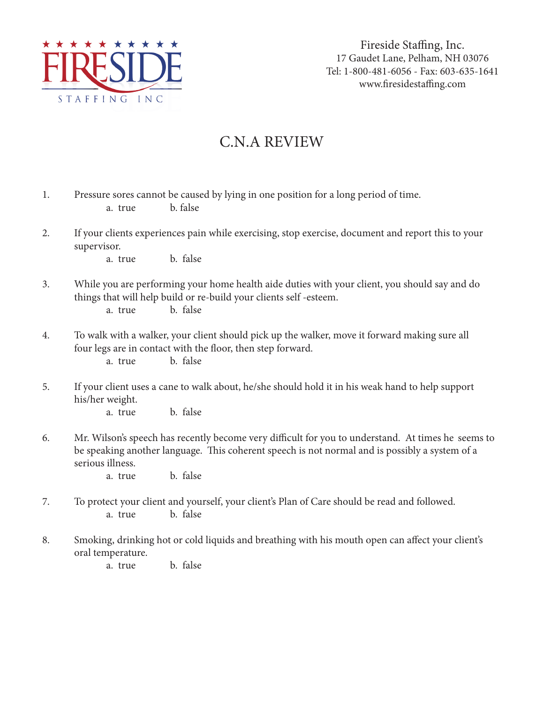

Fireside Staffing, Inc. 17 Gaudet Lane, Pelham, NH 03076 Tel: 1-800-481-6056 - Fax: 603-635-1641 www.firesidestaffing.com

## C.N.A REVIEW

| 1. | Pressure sores cannot be caused by lying in one position for a long period of time.<br>b. false<br>a. true                                                                                                                                      |
|----|-------------------------------------------------------------------------------------------------------------------------------------------------------------------------------------------------------------------------------------------------|
| 2. | If your clients experiences pain while exercising, stop exercise, document and report this to your<br>supervisor.<br>b. false<br>a. true                                                                                                        |
| 3. | While you are performing your home health aide duties with your client, you should say and do<br>things that will help build or re-build your clients self-esteem.<br>b. false<br>a. true                                                       |
| 4. | To walk with a walker, your client should pick up the walker, move it forward making sure all<br>four legs are in contact with the floor, then step forward.<br>b. false<br>a. true                                                             |
| 5. | If your client uses a cane to walk about, he/she should hold it in his weak hand to help support<br>his/her weight.<br>b. false<br>a. true                                                                                                      |
| 6. | Mr. Wilson's speech has recently become very difficult for you to understand. At times he seems to<br>be speaking another language. This coherent speech is not normal and is possibly a system of a<br>serious illness.<br>b. false<br>a. true |
| 7. | To protect your client and yourself, your client's Plan of Care should be read and followed.<br>b. false<br>a. true                                                                                                                             |
| 8. | Smoking, drinking hot or cold liquids and breathing with his mouth open can affect your client's<br>oral temperature.<br>b. false<br>a. true                                                                                                    |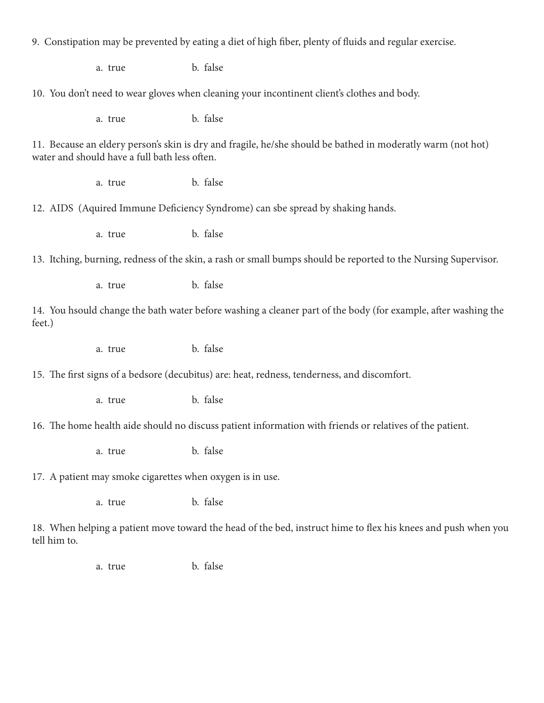| 9. Constipation may be prevented by eating a diet of high fiber, plenty of fluids and regular exercise.                                                      |         |          |  |
|--------------------------------------------------------------------------------------------------------------------------------------------------------------|---------|----------|--|
|                                                                                                                                                              | a. true | b. false |  |
| 10. You don't need to wear gloves when cleaning your incontinent client's clothes and body.                                                                  |         |          |  |
|                                                                                                                                                              | a. true | b. false |  |
| 11. Because an eldery person's skin is dry and fragile, he/she should be bathed in moderatly warm (not hot)<br>water and should have a full bath less often. |         |          |  |
|                                                                                                                                                              | a. true | b. false |  |
| 12. AIDS (Aquired Immune Deficiency Syndrome) can sbe spread by shaking hands.                                                                               |         |          |  |
|                                                                                                                                                              | a. true | b. false |  |
| 13. Itching, burning, redness of the skin, a rash or small bumps should be reported to the Nursing Supervisor.                                               |         |          |  |
|                                                                                                                                                              | a. true | b. false |  |
| 14. You hsould change the bath water before washing a cleaner part of the body (for example, after washing the<br>feet.)                                     |         |          |  |
|                                                                                                                                                              | a. true | b. false |  |
| 15. The first signs of a bedsore (decubitus) are: heat, redness, tenderness, and discomfort.                                                                 |         |          |  |
|                                                                                                                                                              | a. true | b. false |  |
| 16. The home health aide should no discuss patient information with friends or relatives of the patient.                                                     |         |          |  |
|                                                                                                                                                              | a. true | b. false |  |
| 17. A patient may smoke cigarettes when oxygen is in use.                                                                                                    |         |          |  |
|                                                                                                                                                              | a. true | b. false |  |
| 18. When helping a patient move toward the head of the bed, instruct hime to flex his knees and push when you<br>tell him to.                                |         |          |  |
|                                                                                                                                                              | a. true | b. false |  |
|                                                                                                                                                              |         |          |  |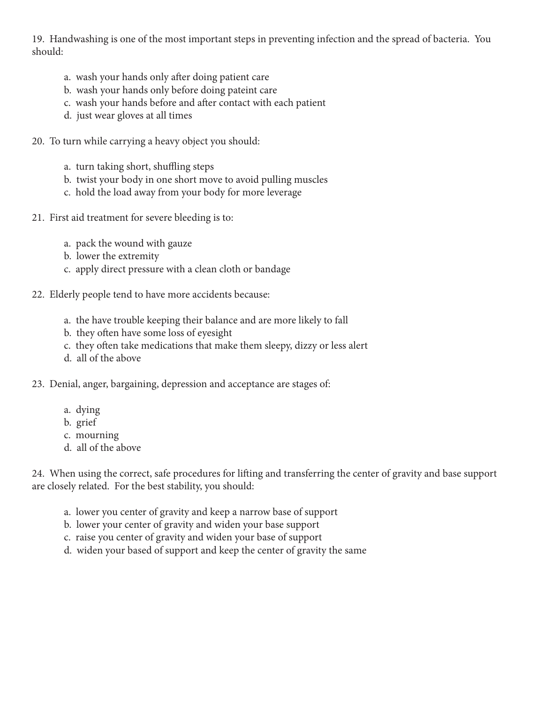19. Handwashing is one of the most important steps in preventing infection and the spread of bacteria. You should:

- a. wash your hands only after doing patient care
- b. wash your hands only before doing pateint care
- c. wash your hands before and after contact with each patient
- d. just wear gloves at all times
- 20. To turn while carrying a heavy object you should:
	- a. turn taking short, shuffling steps
	- b. twist your body in one short move to avoid pulling muscles
	- c. hold the load away from your body for more leverage
- 21. First aid treatment for severe bleeding is to:
	- a. pack the wound with gauze
	- b. lower the extremity
	- c. apply direct pressure with a clean cloth or bandage
- 22. Elderly people tend to have more accidents because:
	- a. the have trouble keeping their balance and are more likely to fall
	- b. they often have some loss of eyesight
	- c. they often take medications that make them sleepy, dizzy or less alert
	- d. all of the above
- 23. Denial, anger, bargaining, depression and acceptance are stages of:
	- a. dying
	- b. grief
	- c. mourning
	- d. all of the above

24. When using the correct, safe procedures for lifting and transferring the center of gravity and base support are closely related. For the best stability, you should:

- a. lower you center of gravity and keep a narrow base of support
- b. lower your center of gravity and widen your base support
- c. raise you center of gravity and widen your base of support
- d. widen your based of support and keep the center of gravity the same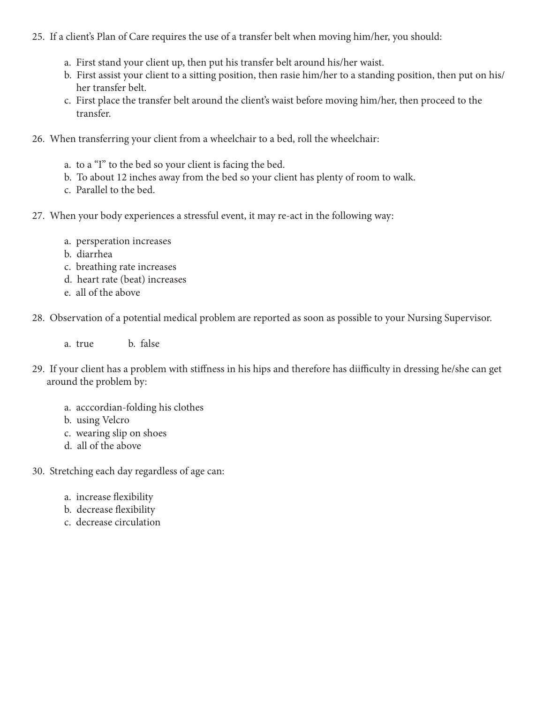## 25. If a client's Plan of Care requires the use of a transfer belt when moving him/her, you should:

- a. First stand your client up, then put his transfer belt around his/her waist.
- b. First assist your client to a sitting position, then rasie him/her to a standing position, then put on his/ her transfer belt.
- c. First place the transfer belt around the client's waist before moving him/her, then proceed to the transfer.
- 26. When transferring your client from a wheelchair to a bed, roll the wheelchair:
	- a. to a "I" to the bed so your client is facing the bed.
	- b. To about 12 inches away from the bed so your client has plenty of room to walk.
	- c. Parallel to the bed.
- 27. When your body experiences a stressful event, it may re-act in the following way:
	- a. persperation increases
	- b. diarrhea
	- c. breathing rate increases
	- d. heart rate (beat) increases
	- e. all of the above
- 28. Observation of a potential medical problem are reported as soon as possible to your Nursing Supervisor.
	- a. true b. false
- 29. If your client has a problem with stiffness in his hips and therefore has diifficulty in dressing he/she can get around the problem by:
	- a. acccordian-folding his clothes
	- b. using Velcro
	- c. wearing slip on shoes
	- d. all of the above

30. Stretching each day regardless of age can:

- a. increase flexibility
- b. decrease flexibility
- c. decrease circulation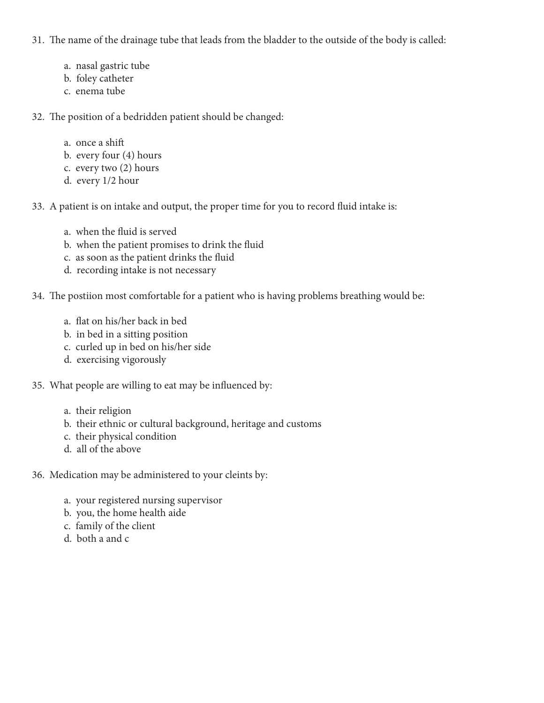31. The name of the drainage tube that leads from the bladder to the outside of the body is called:

- a. nasal gastric tube
- b. foley catheter
- c. enema tube

32. The position of a bedridden patient should be changed:

- a. once a shift b. every four (4) hours
- c. every two (2) hours
- d. every 1/2 hour

33. A patient is on intake and output, the proper time for you to record fluid intake is:

- a. when the fluid is served
- b. when the patient promises to drink the fluid
- c. as soon as the patient drinks the fluid
- d. recording intake is not necessary

34. The postiion most comfortable for a patient who is having problems breathing would be:

- a. flat on his/her back in bed
- b. in bed in a sitting position
- c. curled up in bed on his/her side
- d. exercising vigorously

35. What people are willing to eat may be influenced by:

- a. their religion
- b. their ethnic or cultural background, heritage and customs
- c. their physical condition
- d. all of the above

36. Medication may be administered to your cleints by:

- a. your registered nursing supervisor
- b. you, the home health aide
- c. family of the client
- d. both a and c